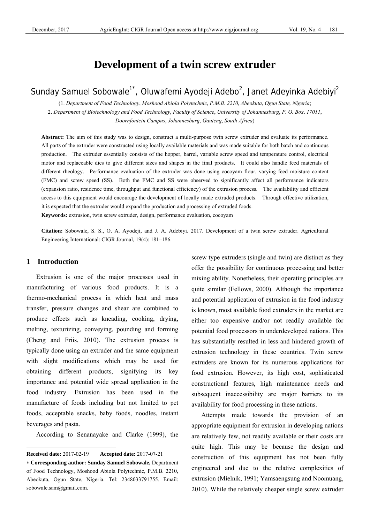# **Development of a twin screw extruder**

# Sunday Samuel Sobowale<sup>1\*</sup>, Oluwafemi Ayodeji Adebo<sup>2</sup>, Janet Adeyinka Adebiyi<sup>2</sup>

(1. *Department of Food Technology*, *Moshood Abiola Polytechnic*, *P.M.B*. *2210*, *Abeokuta*, *Ogun State, Nigeria*; 2. *Department of Biotechnology and Food Technology*, *Faculty of Science*, *University of Johannesburg*, *P. O. Box*. *17011*, *Doornfontein Campus*, *Johannesburg*, *Gauteng*, *South Africa*)

**Abstract:** The aim of this study was to design, construct a multi-purpose twin screw extruder and evaluate its performance. All parts of the extruder were constructed using locally available materials and was made suitable for both batch and continuous production. The extruder essentially consists of the hopper, barrel, variable screw speed and temperature control, electrical motor and replaceable dies to give different sizes and shapes in the final products. It could also handle feed materials of different rheology. Performance evaluation of the extruder was done using cocoyam flour, varying feed moisture content (FMC) and screw speed (SS). Both the FMC and SS were observed to significantly affect all performance indicators (expansion ratio, residence time, throughput and functional efficiency) of the extrusion process. The availability and efficient access to this equipment would encourage the development of locally made extruded products. Through effective utilization, it is expected that the extruder would expand the production and processing of extruded foods. **Keywords:** extrusion, twin screw extruder, design, performance evaluation, cocoyam

**Citation:** Sobowale, S. S., O. A. Ayodeji, and J. A. Adebiyi. 2017. Development of a twin screw extruder. Agricultural Engineering International: CIGR Journal, 19(4): 181–186.

## **1 Introduction**

 $\overline{a}$ 

Extrusion is one of the major processes used in manufacturing of various food products. It is a thermo-mechanical process in which heat and mass transfer, pressure changes and shear are combined to produce effects such as kneading, cooking, drying, melting, texturizing, conveying, pounding and forming (Cheng and Friis, 2010). The extrusion process is typically done using an extruder and the same equipment with slight modifications which may be used for obtaining different products, signifying its key importance and potential wide spread application in the food industry. Extrusion has been used in the manufacture of foods including but not limited to pet foods, acceptable snacks, baby foods, noodles, instant beverages and pasta.

According to Senanayake and Clarke (1999), the

screw type extruders (single and twin) are distinct as they offer the possibility for continuous processing and better mixing ability. Nonetheless, their operating principles are quite similar (Fellows, 2000). Although the importance and potential application of extrusion in the food industry is known, most available food extruders in the market are either too expensive and/or not readily available for potential food processors in underdeveloped nations. This has substantially resulted in less and hindered growth of extrusion technology in these countries. Twin screw extruders are known for its numerous applications for food extrusion. However, its high cost, sophisticated constructional features, high maintenance needs and subsequent inaccessibility are major barriers to its availability for food processing in these nations.

Attempts made towards the provision of an appropriate equipment for extrusion in developing nations are relatively few, not readily available or their costs are quite high. This may be because the design and construction of this equipment has not been fully engineered and due to the relative complexities of extrusion (Mielnik, 1991; Yamsaengsung and Noomuang, 2010). While the relatively cheaper single screw extruder

**Received date:** 2017-02-19 **Accepted date:** 2017-07-21

<sup>∗</sup> **Corresponding author: Sunday Samuel Sobowale,** Department of Food Technology, Moshood Abiola Polytechnic, P.M.B. 2210, Abeokuta, Ogun State, Nigeria. Tel: 2348033791755. Email: sobowale.sam@gmail.com.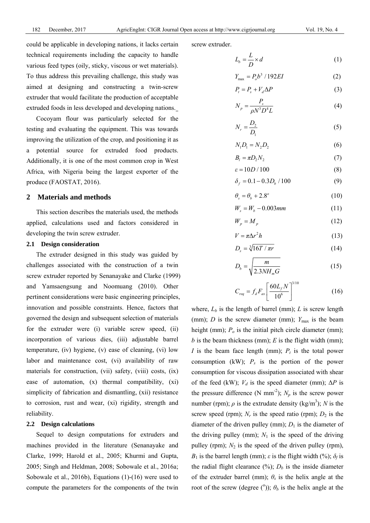could be applicable in developing nations, it lacks certain technical requirements including the capacity to handle various feed types (oily, sticky, viscous or wet materials). To thus address this prevailing challenge, this study was aimed at designing and constructing a twin-screw extruder that would facilitate the production of acceptable extruded foods in less developed and developing nations.

Cocoyam flour was particularly selected for the testing and evaluating the equipment. This was towards improving the utilization of the crop, and positioning it as a potential source for extruded food products. Additionally, it is one of the most common crop in West Africa, with Nigeria being the largest exporter of the produce (FAOSTAT, 2016).

### **2 Materials and methods**

This section describes the materials used, the methods applied, calculations used and factors considered in developing the twin screw extruder.

## **2.1 Design consideration**

The extruder designed in this study was guided by challenges associated with the construction of a twin screw extruder reported by Senanayake and Clarke (1999) and Yamsaengsung and Noomuang (2010). Other pertinent considerations were basic engineering principles, innovation and possible constraints. Hence, factors that governed the design and subsequent selection of materials for the extruder were (i) variable screw speed, (ii) incorporation of various dies, (iii) adjustable barrel temperature, (iv) hygiene, (v) ease of cleaning, (vi) low labor and maintenance cost, (vi) availability of raw materials for construction, (vii) safety, (viii) costs, (ix) ease of automation, (x) thermal compatibility, (xi) simplicity of fabrication and dismantling, (xii) resistance to corrosion, rust and wear, (xi) rigidity, strength and reliability.

## **2.2 Design calculations**

Sequel to design computations for extruders and machines provided in the literature (Senanayake and Clarke, 1999; Harold et al., 2005; Khurmi and Gupta, 2005; Singh and Heldman, 2008; Sobowale et al., 2016a; Sobowale et al., 2016b), Equations (1)-(16) were used to compute the parameters for the components of the twin screw extruder.

$$
L_b = \frac{L}{D} \times d \tag{1}
$$

$$
Y_{\text{max}} = P_o b^3 / 192EI \tag{2}
$$

$$
P_t = P_s + V_d \Delta P \tag{3}
$$

$$
N_p = \frac{P_s}{\rho N^3 D^4 L} \tag{4}
$$

$$
N_r = \frac{D_2}{D_1} \tag{5}
$$

$$
N_1 D_1 = N_2 D_2 \tag{6}
$$

$$
B_l = \pi D_2 N_2 \tag{7}
$$

$$
\varepsilon = 10D / 100 \tag{8}
$$

$$
\delta_f = 0.1 - 0.3 D_b / 100 \tag{9}
$$

$$
\theta_s = \theta_b + 2.8^{\circ} \tag{10}
$$

$$
W_s = W_b - 0.003 \, \text{mm} \tag{11}
$$

$$
W_p = M_p \tag{12}
$$

$$
V = \pi \Delta r^2 h \tag{13}
$$

$$
D_s = \sqrt[3]{16T / \pi r} \tag{14}
$$

$$
D_b = \sqrt{\frac{m}{2.3NH_m G}}\tag{15}
$$

$$
C_{req} = f_d F_{ax} \left[ \frac{60 L_f N}{10^6} \right]^{3/10} \tag{16}
$$

where,  $L_b$  is the length of barrel (mm);  $L$  is screw length (mm); *D* is the screw diameter (mm);  $Y_{\text{max}}$  is the beam height (mm);  $P<sub>o</sub>$  is the initial pitch circle diameter (mm);  *is the beam thickness (mm);*  $*E*$  *is the flight width (mm); I* is the beam face length (mm);  $P_t$  is the total power consumption (kW);  $P_s$  is the portion of the power consumption for viscous dissipation associated with shear of the feed (kW);  $V_d$  is the speed diameter (mm);  $\Delta P$  is the pressure difference (N mm<sup>-2</sup>);  $N_p$  is the screw power number (rpm);  $\rho$  is the extrudate density (kg/m<sup>3</sup>); *N* is the screw speed (rpm);  $N_r$  is the speed ratio (rpm);  $D_2$  is the diameter of the driven pulley (mm);  $D_1$  is the diameter of the driving pulley (mm);  $N_1$  is the speed of the driving pulley (rpm);  $N_2$  is the speed of the driven pulley (rpm), *B*<sub>1</sub> is the barrel length (mm); *ε* is the flight width (%);  $\delta_f$  is the radial flight clearance  $(\%)$ ;  $D_b$  is the inside diameter of the extruder barrel (mm);  $\theta_s$  is the helix angle at the root of the screw (degree  $(^{\circ})$ );  $\theta_b$  is the helix angle at the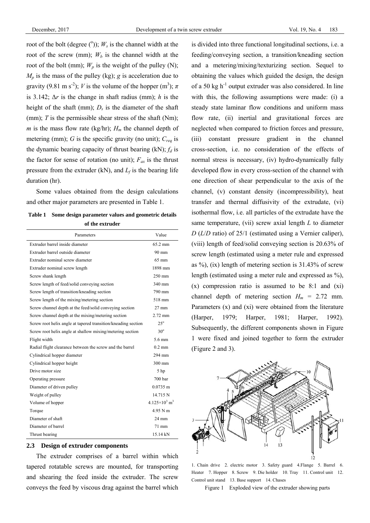root of the bolt (degree  $(°)$ );  $W_s$  is the channel width at the root of the screw (mm);  $W_b$  is the channel width at the root of the bolt (mm);  $W_p$  is the weight of the pulley (N);  $M_p$  is the mass of the pulley (kg); *g* is acceleration due to gravity (9.81 m s<sup>-2</sup>); *V* is the volume of the hopper (m<sup>3</sup>);  $\pi$ is 3.142; Δ*r* is the change in shaft radius (mm); *h* is the height of the shaft (mm);  $D_s$  is the diameter of the shaft (mm); *T* is the permissible shear stress of the shaft (Nm); *m* is the mass flow rate (kg/hr);  $H_m$  the channel depth of metering (mm); *G* is the specific gravity (no unit); *Creq* is the dynamic bearing capacity of thrust bearing  $(kN)$ ;  $f_d$  is the factor for sense of rotation (no unit);  $F_{ax}$  is the thrust pressure from the extruder (kN), and  $L_f$  is the bearing life duration (hr).

Some values obtained from the design calculations and other major parameters are presented in Table 1.

| Table 1 Some design parameter values and geometric details |
|------------------------------------------------------------|
| of the extruder                                            |

| Parameters                                                    | Value                                         |
|---------------------------------------------------------------|-----------------------------------------------|
| Extruder barrel inside diameter                               | $65.2$ mm                                     |
| Extruder barrel outside diameter                              | $90 \text{ mm}$                               |
| Extruder nominal screw diameter                               | $65 \text{ mm}$                               |
| Extruder nominal screw length                                 | 1898 mm                                       |
| Screw shank length                                            | $250$ mm                                      |
| Screw length of feed/solid conveying section                  | 340 mm                                        |
| Screw length of transition/kneading section                   | 790 mm                                        |
| Screw length of the mixing/metering section                   | 518 mm                                        |
| Screw channel depth at the feed/solid conveying section       | $27 \text{ mm}$                               |
| Screw channel depth at the mixing/metering section            | 2.72 mm                                       |
| Screw root helix angle at tapered transition/kneading section | $25^\circ$                                    |
| Screw root helix angle at shallow mixing/metering section     | $30^\circ$                                    |
| Flight width                                                  | 5.6 mm                                        |
| Radial flight clearance between the screw and the barrel      | $0.2$ mm                                      |
| Cylindrical hopper diameter                                   | 294 mm                                        |
| Cylindrical hopper height                                     | $300 \text{ mm}$                              |
| Drive motor size                                              | 5 hp                                          |
| Operating pressure                                            | 700 <sub>bar</sub>                            |
| Diameter of driven pulley                                     | $0.0735$ m                                    |
| Weight of pulley                                              | 14.715 N                                      |
| Volume of hopper                                              | 4 125 $\times$ 10 <sup>3</sup> m <sup>3</sup> |
| Torque                                                        | 4.95 N m                                      |
| Diameter of shaft                                             | $24 \text{ mm}$                               |
| Diameter of barrel                                            | $71 \text{ mm}$                               |
| Thrust bearing                                                | 15.14 kN                                      |

## **2.3 Design of extruder components**

The extruder comprises of a barrel within which tapered rotatable screws are mounted, for transporting and shearing the feed inside the extruder. The screw conveys the feed by viscous drag against the barrel which is divided into three functional longitudinal sections, i.e. a feeding/conveying section, a transition/kneading section and a metering/mixing/texturizing section. Sequel to obtaining the values which guided the design, the design of a 50 kg  $h^{-1}$  output extruder was also considered. In line with this, the following assumptions were made: (i) a steady state laminar flow conditions and uniform mass flow rate, (ii) inertial and gravitational forces are neglected when compared to friction forces and pressure, (iii) constant pressure gradient in the channel cross-section, i.e. no consideration of the effects of normal stress is necessary, (iv) hydro-dynamically fully developed flow in every cross-section of the channel with one direction of shear perpendicular to the axis of the channel, (v) constant density (incompressibility), heat transfer and thermal diffusivity of the extrudate, (vi) isothermal flow, i.e. all particles of the extrudate have the same temperature, (vii) screw axial length *L* to diameter *D* (*L*/*D* ratio) of 25/1 (estimated using a Vernier caliper), (viii) length of feed/solid conveying section is 20.63% of screw length (estimated using a meter rule and expressed as  $\%$ ), (ix) length of metering section is 31.43% of screw length (estimated using a meter rule and expressed as %), (x) compression ratio is assumed to be 8:1 and (xi) channel depth of metering section  $H_m = 2.72$  mm. Parameters (x) and (xi) were obtained from the literature (Harper, 1979; Harper, 1981; Harper, 1992). Subsequently, the different components shown in Figure 1 were fixed and joined together to form the extruder (Figure 2 and 3).



1. Chain drive 2. electric motor 3. Safety guard 4.Flange 5. Barrel 6. Heater 7. Hopper 8. Screw 9. Die holder 10. Tray 11. Control unit 12. Control unit stand 13. Base support 14. Chases

Figure 1 Exploded view of the extruder showing parts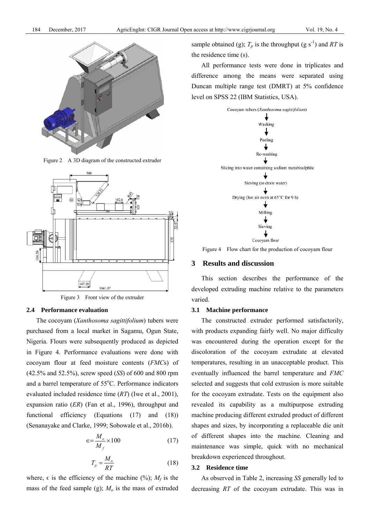

Figure 2 A 3D diagram of the constructed extruder





## **2.4 Performance evaluation**

The cocoyam (*Xanthosoma sagittifolium*) tubers were purchased from a local market in Sagamu, Ogun State, Nigeria. Flours were subsequently produced as depicted in Figure 4. Performance evaluations were done with cocoyam flour at feed moisture contents (*FMC*s) of (42.5% and 52.5%), screw speed (*SS*) of 600 and 800 rpm and a barrel temperature of 55°C. Performance indicators evaluated included residence time (*RT*) (Iwe et al., 2001), expansion ratio (*ER*) (Fan et al., 1996), throughput and functional efficiency (Equations (17) and (18)) (Senanayake and Clarke, 1999; Sobowale et al., 2016b).

$$
\epsilon = \frac{M_o}{M_f} \times 100\tag{17}
$$

$$
T_p = \frac{M_o}{RT} \tag{18}
$$

where,  $\epsilon$  is the efficiency of the machine (%);  $M_f$  is the mass of the feed sample (g);  $M<sub>o</sub>$  is the mass of extruded sample obtained (g);  $T_p$  is the throughput (g s<sup>-1</sup>) and *RT* is the residence time (s).

All performance tests were done in triplicates and difference among the means were separated using Duncan multiple range test (DMRT) at 5% confidence level on SPSS 22 (IBM Statistics, USA).



Figure 4 Flow chart for the production of cocoyam flour

# **3 Results and discussion**

This section describes the performance of the developed extruding machine relative to the parameters varied.

## **3.1 Machine performance**

The constructed extruder performed satisfactorily, with products expanding fairly well. No major difficulty was encountered during the operation except for the discoloration of the cocoyam extrudate at elevated temperatures, resulting in an unacceptable product. This eventually influenced the barrel temperature and *FMC* selected and suggests that cold extrusion is more suitable for the cocoyam extrudate. Tests on the equipment also revealed its capability as a multipurpose extruding machine producing different extruded product of different shapes and sizes, by incorporating a replaceable die unit of different shapes into the machine. Cleaning and maintenance was simple, quick with no mechanical breakdown experienced throughout.

## **3.2 Residence time**

As observed in Table 2, increasing *SS* generally led to decreasing *RT* of the cocoyam extrudate. This was in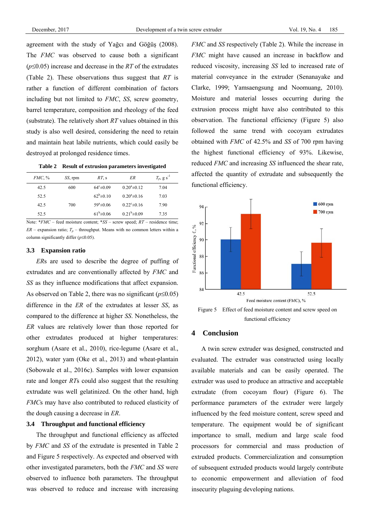agreement with the study of Yağcı and Göğüş (2008). The *FMC* was observed to cause both a significant (*p*≤0.05) increase and decrease in the *RT* of the extrudates (Table 2). These observations thus suggest that *RT* is rather a function of different combination of factors including but not limited to *FMC*, *SS*, screw geometry, barrel temperature, composition and rheology of the feed (substrate). The relatively short *RT* values obtained in this study is also well desired, considering the need to retain and maintain heat labile nutrients, which could easily be destroyed at prolonged residence times.

| Table 2 Result of extrusion parameters investigated |  |
|-----------------------------------------------------|--|
|-----------------------------------------------------|--|

| <i>FMC</i> , % | SS, rpm | $RT_{\rm s}$          | ER                    | $T_p$ , g s <sup>-1</sup> |
|----------------|---------|-----------------------|-----------------------|---------------------------|
| 42.5           | 600     | $64^{\circ} \pm 0.09$ | $0.20^a \pm 0.12$     | 7.04                      |
| 52.5           |         | $62^b \pm 0.10$       | $0.20^{\circ}$ ± 0.16 | 7.03                      |
| 42.5           | 700     | $59^a \pm 0.06$       | $0.22^{\circ}$ ± 0.16 | 7.90                      |
| 52.5           |         | $61^{b} \pm 0.06$     | $0.21^b \pm 0.09$     | 7.35                      |

Note: \**FMC* – feed moisture content; \**SS* – screw speed; *RT* – residence time;  $ER$  – expansion ratio;  $T_p$  – throughput. Means with no common letters within a column significantly differ (*p*≤0.05).

#### **3.3 Expansion ratio**

*ER*s are used to describe the degree of puffing of extrudates and are conventionally affected by *FMC* and *SS* as they influence modifications that affect expansion. As observed on Table 2, there was no significant (*p*≤0.05) difference in the *ER* of the extrudates at lesser *SS*, as compared to the difference at higher *SS*. Nonetheless, the *ER* values are relatively lower than those reported for other extrudates produced at higher temperatures: sorghum (Asare et al., 2010), rice-legume (Asare et al., 2012), water yam (Oke et al., 2013) and wheat-plantain (Sobowale et al., 2016c). Samples with lower expansion rate and longer *RT*s could also suggest that the resulting extrudate was well gelatinized. On the other hand, high *FMC*s may have also contributed to reduced elasticity of the dough causing a decrease in *ER*.

# **3.4 Throughput and functional efficiency**

The throughput and functional efficiency as affected by *FMC* and *SS* of the extrudate is presented in Table 2 and Figure 5 respectively. As expected and observed with other investigated parameters, both the *FMC* and *SS* were observed to influence both parameters. The throughput was observed to reduce and increase with increasing *FMC* and *SS* respectively (Table 2). While the increase in *FMC* might have caused an increase in backflow and reduced viscosity, increasing *SS* led to increased rate of material conveyance in the extruder (Senanayake and Clarke, 1999; Yamsaengsung and Noomuang, 2010). Moisture and material losses occurring during the extrusion process might have also contributed to this observation. The functional efficiency (Figure 5) also followed the same trend with cocoyam extrudates obtained with *FMC* of 42.5% and *SS* of 700 rpm having the highest functional efficiency of 93%. Likewise, reduced *FMC* and increasing *SS* influenced the shear rate, affected the quantity of extrudate and subsequently the functional efficiency.



functional efficiency

## **4 Conclusion**

A twin screw extruder was designed, constructed and evaluated. The extruder was constructed using locally available materials and can be easily operated. The extruder was used to produce an attractive and acceptable extrudate (from cocoyam flour) (Figure 6). The performance parameters of the extruder were largely influenced by the feed moisture content, screw speed and temperature. The equipment would be of significant importance to small, medium and large scale food processors for commercial and mass production of extruded products. Commercialization and consumption of subsequent extruded products would largely contribute to economic empowerment and alleviation of food insecurity plaguing developing nations.